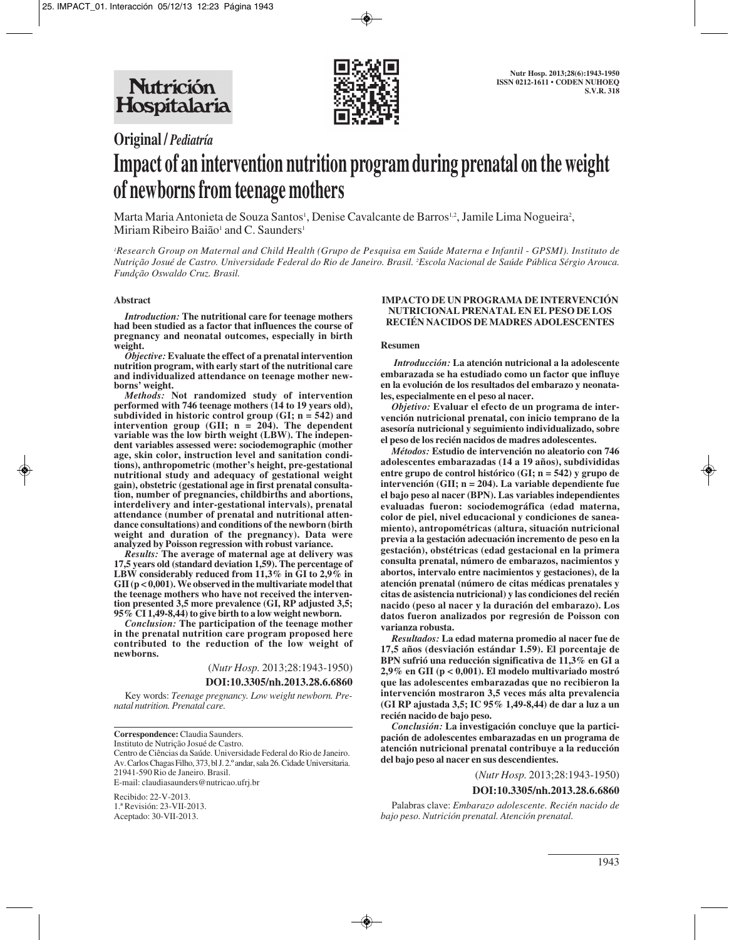

**Original /** *Pediatría*

# **Impact of an intervention nutrition program during prenatal on the weight of newborns from teenage mothers**

Marta Maria Antonieta de Souza Santos<sup>1</sup>, Denise Cavalcante de Barros<sup>1,2</sup>, Jamile Lima Nogueira<sup>2</sup>, Miriam Ribeiro Baião<sup>1</sup> and C. Saunders<sup>1</sup>

*1 Research Group on Maternal and Child Health (Grupo de Pesquisa em Saúde Materna e Infantil - GPSMI). Instituto de Nutrição Josué de Castro. Universidade Federal do Rio de Janeiro. Brasil. 2 Escola Nacional de Saúde Pública Sérgio Arouca. Fundção Oswaldo Cruz. Brasil.*

#### **Abstract**

*Introduction:* **The nutritional care for teenage mothers had been studied as a factor that influences the course of pregnancy and neonatal outcomes, especially in birth weight.**

*Objective:* **Evaluate the effect of a prenatal intervention nutrition program, with early start of the nutritional care and individualized attendance on teenage mother new borns' weight.**

*Methods:* **Not randomized study of intervention performed with 746 teenage mothers (14 to 19 years old), subdivided in historic control group (GI; n = 542) and intervention group (GII; n = 204). The dependent variable was the low birth weight (LBW). The independent variables assessed were: sociodemographic (mother age, skin color, instruction level and sanitation conditions), anthropometric (mother's height, pre-gestational nutritional study and adequacy of gestational weight gain), obstetric (gestational age in first prenatal consultation, number of pregnancies, childbirths and abortions, interdelivery and inter-gestational intervals), prenatal attendance (number of prenatal and nutritional attendance consultations) and conditions of the newborn (birth weight and duration of the pregnancy). Data were analyzed by Poisson regression with robust variance.**

*Results:* **The average of maternal age at delivery was 17,5 years old (standard deviation 1,59). The percentage of LBW considerably reduced from 11,3% in GI to 2,9% in GII (p < 0,001). We observed in the multivariate model that the teenage mothers who have not received the intervention presented 3,5 more prevalence (GI, RP adjusted 3,5; 95% CI 1,49-8,44) to give birth to a low weight newborn.**

*Conclusion:* **The participation of the teenage mother in the prenatal nutrition care program proposed here contributed to the reduction of the low weight of newborns.**

(*Nutr Hosp.* 2013;28:1943-1950)

**DOI:10.3305/nh.2013.28.6.6860**

Key words: *Teenage pregnancy. Low weight newborn. Prenatal nutrition. Prenatal care.*

**Correspondence:** Claudia Saunders. Instituto de Nutrição Josué de Castro. Centro de Ciências da Saúde. Universidade Federal do Rio de Janeiro. Av. Carlos Chagas Filho, 373, bl J. 2.º andar, sala 26. Cidade Universitaria. 21941-590 Rio de Janeiro. Brasil. E-mail: claudiasaunders@nutricao.ufrj.br Recibido: 22-V-2013.

1.ª Revisión: 23-VII-2013. Aceptado: 30-VII-2013.

#### **IMPACTO DE UN PROGRAMA DE INTERVENCIÓN NUTRICIONAL PRENATAL EN EL PESO DE LOS RECIÉN NACIDOS DE MADRES ADOLESCENTES**

#### **Resumen**

*Introducción:* **La atención nutricional a la adolescente embarazada se ha estudiado como un factor que influye en la evolución de los resultados del embarazo y neonatales, especialmente en el peso al nacer.**

*Objetivo:* **Evaluar el efecto de un programa de intervención nutricional prenatal, con inicio temprano de la asesoría nutricional y seguimiento individualizado, sobre el peso de los recién nacidos de madres adolescentes.**

*Métodos:* **Estudio de intervención no aleatorio con 746 adolescentes embarazadas (14 a 19 años), subdivididas entre grupo de control histórico (GI; n = 542) y grupo de intervención (GII; n = 204). La variable dependiente fue el bajo peso al nacer (BPN). Las variables independientes evaluadas fueron: sociodemográfica (edad materna, color de piel, nivel educacional y condiciones de saneamiento), antropométricas (altura, situación nutricional previa a la gestación adecuación incremento de peso en la gestación), obstétricas (edad gestacional en la primera consulta prenatal, número de embarazos, nacimientos y abortos, intervalo entre nacimientos y gestaciones), de la atención prenatal (número de citas médicas prenatales y citas de asistencia nutricional) y las condiciones del recién nacido (peso al nacer y la duración del embarazo). Los datos fueron analizados por regresión de Poisson con varianza robusta.**

*Resultados:* **La edad materna promedio al nacer fue de 17,5 años (desviación estándar 1.59). El porcentaje de BPN sufrió una reducción significativa de 11,3% en GI a 2,9% en GII (p < 0,001). El modelo multivariado mostró que las adolescentes embarazadas que no recibieron la intervención mostraron 3,5 veces más alta prevalencia (GI RP ajustada 3,5; IC 95% 1,49-8,44) de dar a luz a un recién nacido de bajo peso.**

*Conclusión:* **La investigación concluye que la participación de adolescentes embarazadas en un programa de atención nutricional prenatal contribuye a la reducción del bajo peso al nacer en sus descendientes.**

(*Nutr Hosp.* 2013;28:1943-1950)

#### **DOI:10.3305/nh.2013.28.6.6860**

Palabras clave: *Embarazo adolescente. Recién nacido de bajo peso. Nutrición prenatal. Atención prenatal.*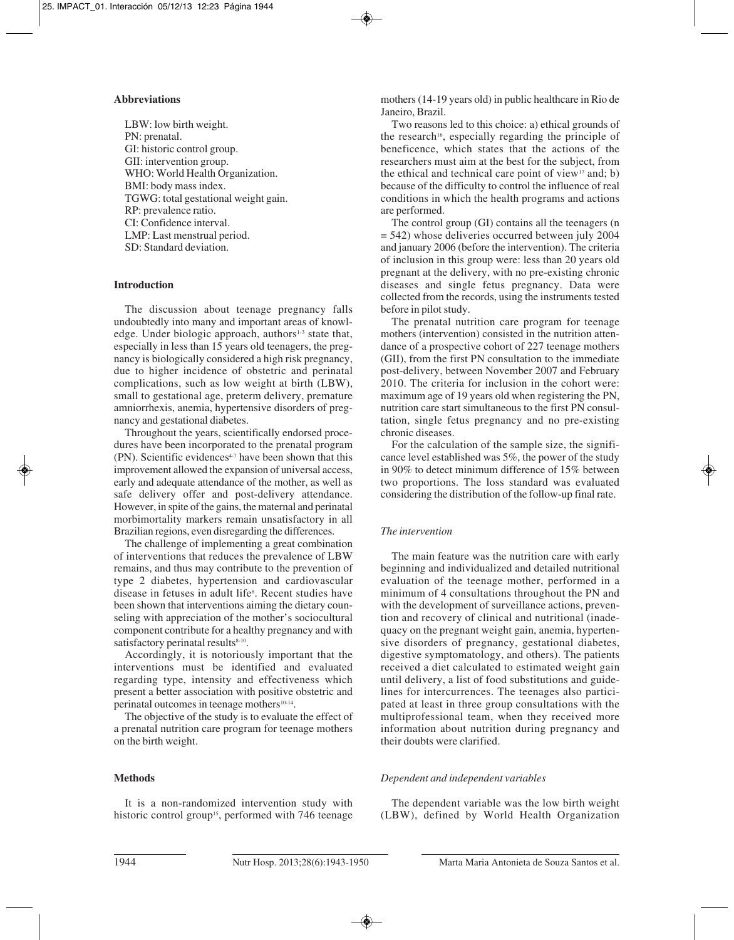# **Abbreviations**

LBW: low birth weight. PN: prenatal. GI: historic control group. GII: intervention group. WHO: World Health Organization. BMI: body mass index. TGWG: total gestational weight gain. RP: prevalence ratio. CI: Confidence interval. LMP: Last menstrual period. SD: Standard deviation.

#### **Introduction**

The discussion about teenage pregnancy falls undoubtedly into many and important areas of knowledge. Under biologic approach, authors<sup>1-3</sup> state that, especially in less than 15 years old teenagers, the pregnancy is biologically considered a high risk pregnancy, due to higher incidence of obstetric and perinatal complications, such as low weight at birth (LBW), small to gestational age, preterm delivery, premature amniorrhexis, anemia, hypertensive disorders of pregnancy and gestational diabetes.

Throughout the years, scientifically endorsed procedures have been incorporated to the prenatal program  $(PN)$ . Scientific evidences<sup> $4-7$ </sup> have been shown that this improvement allowed the expansion of universal access, early and adequate attendance of the mother, as well as safe delivery offer and post-delivery attendance. However, in spite of the gains, the maternal and perinatal morbimortality markers remain unsatisfactory in all Brazilian regions, even disregarding the differences.

The challenge of implementing a great combination of interventions that reduces the prevalence of LBW remains, and thus may contribute to the prevention of type 2 diabetes, hypertension and cardiovascular disease in fetuses in adult life<sup>s</sup>. Recent studies have been shown that interventions aiming the dietary counseling with appreciation of the mother's sociocultural component contribute for a healthy pregnancy and with satisfactory perinatal results<sup>8-10</sup>.

Accordingly, it is notoriously important that the interventions must be identified and evaluated regarding type, intensity and effectiveness which present a better association with positive obstetric and perinatal outcomes in teenage mothers<sup>10-14</sup>.

The objective of the study is to evaluate the effect of a prenatal nutrition care program for teenage mothers on the birth weight.

# **Methods**

It is a non-randomized intervention study with historic control group<sup>15</sup>, performed with 746 teenage

mothers (14-19 years old) in public healthcare in Rio de Janeiro, Brazil.

Two reasons led to this choice: a) ethical grounds of the research<sup>16</sup>, especially regarding the principle of beneficence, which states that the actions of the researchers must aim at the best for the subject, from the ethical and technical care point of view $17$  and; b) because of the difficulty to control the influence of real conditions in which the health programs and actions are performed.

The control group (GI) contains all the teenagers (n = 542) whose deliveries occurred between july 2004 and january 2006 (before the intervention). The criteria of inclusion in this group were: less than 20 years old pregnant at the delivery, with no pre-existing chronic diseases and single fetus pregnancy. Data were collected from the records, using the instruments tested before in pilot study.

The prenatal nutrition care program for teenage mothers (intervention) consisted in the nutrition attendance of a prospective cohort of 227 teenage mothers (GII), from the first PN consultation to the immediate post-delivery, between November 2007 and February 2010. The criteria for inclusion in the cohort were: maximum age of 19 years old when registering the PN, nutrition care start simultaneous to the first PN consultation, single fetus pregnancy and no pre-existing chronic diseases.

For the calculation of the sample size, the significance level established was 5%, the power of the study in 90% to detect minimum difference of 15% between two proportions. The loss standard was evaluated considering the distribution of the follow-up final rate.

#### *The intervention*

The main feature was the nutrition care with early beginning and individualized and detailed nutritional evaluation of the teenage mother, performed in a minimum of 4 consultations throughout the PN and with the development of surveillance actions, prevention and recovery of clinical and nutritional (inadequacy on the pregnant weight gain, anemia, hypertensive disorders of pregnancy, gestational diabetes, digestive symptomatology, and others). The patients received a diet calculated to estimated weight gain until delivery, a list of food substitutions and guidelines for intercurrences. The teenages also participated at least in three group consultations with the multiprofessional team, when they received more information about nutrition during pregnancy and their doubts were clarified.

# *Dependent and independent variables*

The dependent variable was the low birth weight (LBW), defined by World Health Organization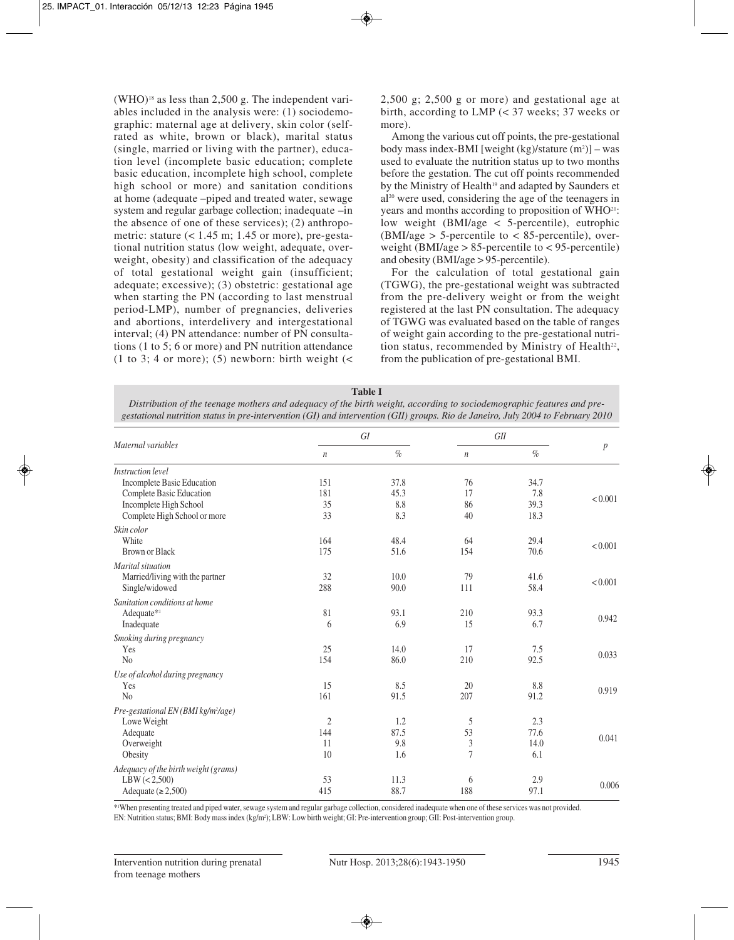$(WHO)^{18}$  as less than 2,500 g. The independent variables included in the analysis were: (1) sociodemographic: maternal age at delivery, skin color (selfrated as white, brown or black), marital status (single, married or living with the partner), education level (incomplete basic education; complete basic education, incomplete high school, complete high school or more) and sanitation conditions at home (adequate –piped and treated water, sewage system and regular garbage collection; inadequate –in the absence of one of these services); (2) anthropometric: stature  $(< 1.45$  m; 1.45 or more), pre-gestational nutrition status (low weight, adequate, overweight, obesity) and classification of the adequacy of total gestational weight gain (insufficient; adequate; excessive); (3) obstetric: gestational age when starting the PN (according to last menstrual period-LMP), number of pregnancies, deliveries and abortions, interdelivery and intergestational interval; (4) PN attendance: number of PN consultations (1 to 5; 6 or more) and PN nutrition attendance (1 to 3; 4 or more); (5) newborn: birth weight  $\left($  < 2,500 g; 2,500 g or more) and gestational age at birth, according to LMP (< 37 weeks; 37 weeks or more).

Among the various cut off points, the pre-gestational body mass index-BMI [weight (kg)/stature (m<sup>2</sup>)] – was used to evaluate the nutrition status up to two months before the gestation. The cut off points recommended by the Ministry of Health<sup>19</sup> and adapted by Saunders et al20 were used, considering the age of the teenagers in years and months according to proposition of WHO21: low weight (BMI/age < 5-percentile), eutrophic  $(BMI/age > 5$ -percentile to  $< 85$ -percentile), overweight (BMI/age  $> 85$ -percentile to  $< 95$ -percentile) and obesity (BMI/age > 95-percentile).

For the calculation of total gestational gain (TGWG), the pre-gestational weight was subtracted from the pre-delivery weight or from the weight registered at the last PN consultation. The adequacy of TGWG was evaluated based on the table of ranges of weight gain according to the pre-gestational nutrition status, recommended by Ministry of Health<sup>22</sup>, from the publication of pre-gestational BMI.

| <b>Table L</b>                                                                                                                  |
|---------------------------------------------------------------------------------------------------------------------------------|
| Distribution of the teenage mothers and adequacy of the birth weight, according to sociodemographic features and pre-           |
| gestational nutrition status in pre-intervention (GI) and intervention (GII) groups. Rio de Janeiro, July 2004 to February 2010 |

| Maternal variables                              |                  | GI   |                             | GII  |                  |
|-------------------------------------------------|------------------|------|-----------------------------|------|------------------|
|                                                 | $\boldsymbol{n}$ | $\%$ | $\it n$                     | $\%$ | $\boldsymbol{p}$ |
| Instruction level                               |                  |      |                             |      |                  |
| Incomplete Basic Education                      | 151              | 37.8 | 76                          | 34.7 |                  |
| Complete Basic Education                        | 181              | 45.3 | 17                          | 7.8  | < 0.001          |
| Incomplete High School                          | 35               | 8.8  | 86                          | 39.3 |                  |
| Complete High School or more                    | 33               | 8.3  | 40                          | 18.3 |                  |
| Skin color                                      |                  |      |                             |      |                  |
| White                                           | 164              | 48.4 | 64                          | 29.4 | < 0.001          |
| <b>Brown or Black</b>                           | 175              | 51.6 | 154                         | 70.6 |                  |
| Marital situation                               |                  |      |                             |      |                  |
| Married/living with the partner                 | 32               | 10.0 | 79                          | 41.6 |                  |
| Single/widowed                                  | 288              | 90.0 | 111                         | 58.4 | < 0.001          |
| Sanitation conditions at home                   |                  |      |                             |      |                  |
| Adequate*1                                      | 81               | 93.1 | 210                         | 93.3 |                  |
| Inadequate                                      | 6                | 6.9  | 15                          | 6.7  | 0.942            |
| Smoking during pregnancy                        |                  |      |                             |      |                  |
| Yes                                             | 25               | 14.0 | 17                          | 7.5  |                  |
| N <sub>o</sub>                                  | 154              | 86.0 | 210                         | 92.5 | 0.033            |
| Use of alcohol during pregnancy                 |                  |      |                             |      |                  |
| Yes                                             | 15               | 8.5  | 20                          | 8.8  |                  |
| No                                              | 161              | 91.5 | 207                         | 91.2 | 0.919            |
| Pre-gestational EN (BMI kg/m <sup>2</sup> /age) |                  |      |                             |      |                  |
| Lowe Weight                                     | $\overline{2}$   | 1.2  | 5                           | 2.3  |                  |
| Adequate                                        | 144              | 87.5 | 53                          | 77.6 |                  |
| Overweight                                      | 11               | 9.8  | $\ensuremath{\mathfrak{Z}}$ | 14.0 | 0.041            |
| Obesity                                         | 10               | 1.6  | $\overline{7}$              | 6.1  |                  |
| Adequacy of the birth weight (grams)            |                  |      |                             |      |                  |
| LBW (< 2,500)                                   | 53               | 11.3 | 6                           | 2.9  |                  |
| Adequate $(\ge 2, 500)$                         | 415              | 88.7 | 188                         | 97.1 | 0.006            |

\*1 When presenting treated and piped water, sewage system and regular garbage collection, considered inadequate when one of these services was not provided. EN: Nutrition status; BMI: Body mass index (kg/m2 ); LBW: Low birth weight; GI: Pre-intervention group; GII: Post-intervention group.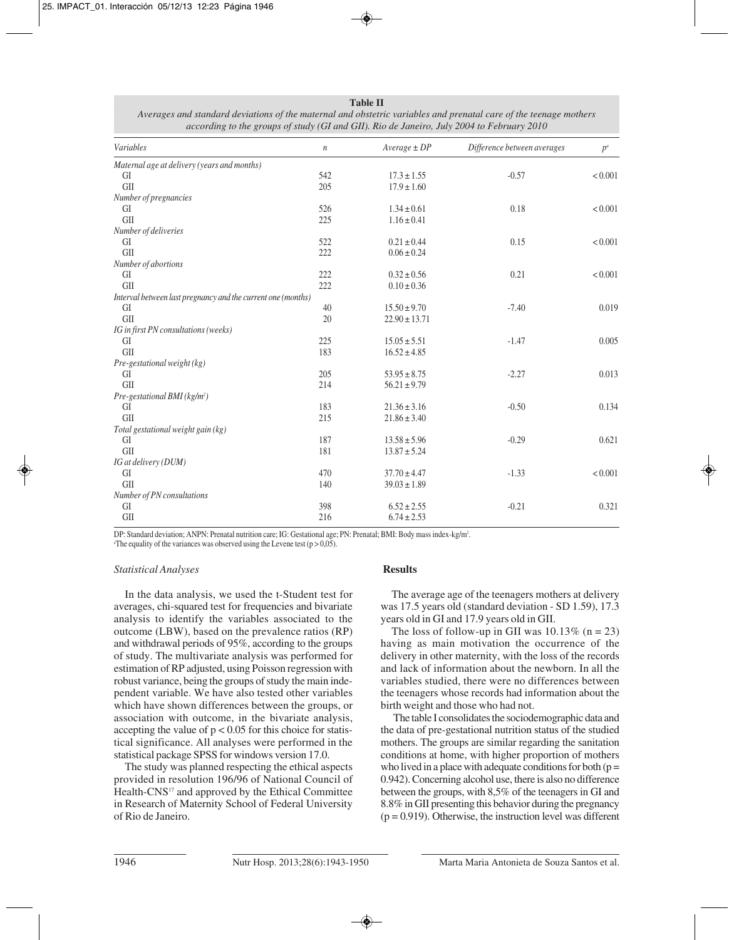| Variables                                                    | $\,n$ | $Average \pm DP$  | Difference between averages | $p^a$   |
|--------------------------------------------------------------|-------|-------------------|-----------------------------|---------|
| Maternal age at delivery (years and months)                  |       |                   |                             |         |
| GI                                                           | 542   | $17.3 \pm 1.55$   | $-0.57$                     | < 0.001 |
| <b>GII</b>                                                   | 205   | $17.9 \pm 1.60$   |                             |         |
| Number of pregnancies                                        |       |                   |                             |         |
| GI                                                           | 526   | $1.34 \pm 0.61$   | 0.18                        | < 0.001 |
| <b>GII</b>                                                   | 225   | $1.16 \pm 0.41$   |                             |         |
| Number of deliveries                                         |       |                   |                             |         |
| GI                                                           | 522   | $0.21 \pm 0.44$   | 0.15                        | < 0.001 |
| GII                                                          | 222   | $0.06 \pm 0.24$   |                             |         |
| Number of abortions                                          |       |                   |                             |         |
| GI                                                           | 222   | $0.32 \pm 0.56$   | 0.21                        | < 0.001 |
| GII                                                          | 222   | $0.10 \pm 0.36$   |                             |         |
| Interval between last pregnancy and the current one (months) |       |                   |                             |         |
| GI                                                           | 40    | $15.50 \pm 9.70$  | $-7.40$                     | 0.019   |
| GII                                                          | 20    | $22.90 \pm 13.71$ |                             |         |
| IG in first PN consultations (weeks)                         |       |                   |                             |         |
| GI                                                           | 225   | $15.05 \pm 5.51$  | $-1.47$                     | 0.005   |
| GII                                                          | 183   | $16.52 \pm 4.85$  |                             |         |
| Pre-gestational weight (kg)                                  |       |                   |                             |         |
| GI                                                           | 205   | $53.95 \pm 8.75$  | $-2.27$                     | 0.013   |
| GII                                                          | 214   | $56.21 \pm 9.79$  |                             |         |
| Pre-gestational BMI ( $kg/m2$ )                              |       |                   |                             |         |
| GI                                                           | 183   | $21.36 \pm 3.16$  | $-0.50$                     | 0.134   |
| GII                                                          | 215   | $21.86 \pm 3.40$  |                             |         |
| Total gestational weight gain (kg)                           |       |                   |                             |         |
| GI                                                           | 187   | $13.58 \pm 5.96$  | $-0.29$                     | 0.621   |
| <b>GII</b>                                                   | 181   | $13.87 \pm 5.24$  |                             |         |
| IG at delivery (DUM)                                         |       |                   |                             |         |
| GI                                                           | 470   | $37.70 \pm 4.47$  | $-1.33$                     | < 0.001 |
| <b>GII</b>                                                   | 140   | $39.03 \pm 1.89$  |                             |         |
| Number of PN consultations                                   |       |                   |                             |         |
| GI                                                           | 398   | $6.52 \pm 2.55$   | $-0.21$                     | 0.321   |
| GII                                                          | 216   | $6.74 \pm 2.53$   |                             |         |

**Table II** *Averages and standard deviations of the maternal and obstetric variables and prenatal care of the teenage mothers according to the groups of study (GI and GII). Rio de Janeiro, July 2004 to February 2010*

DP: Standard deviation; ANPN: Prenatal nutrition care; IG: Gestational age; PN: Prenatal; BMI: Body mass index-kg/m².<br>The equality of the variances was observed using the Levene test (p > 0.05). <sup>a</sup>The equality of the variances was observed using the Levene test ( $p > 0.05$ ).

# *Statistical Analyses*

In the data analysis, we used the t-Student test for averages, chi-squared test for frequencies and bivariate analysis to identify the variables associated to the outcome (LBW), based on the prevalence ratios (RP) and withdrawal periods of 95%, according to the groups of study. The multivariate analysis was performed for estimation of RP adjusted, using Poisson regression with robust variance, being the groups of study the main independent variable. We have also tested other variables which have shown differences between the groups, or association with outcome, in the bivariate analysis, accepting the value of  $p < 0.05$  for this choice for statistical significance. All analyses were performed in the statistical package SPSS for windows version 17.0.

The study was planned respecting the ethical aspects provided in resolution 196/96 of National Council of Health-CNS<sup>17</sup> and approved by the Ethical Committee in Research of Maternity School of Federal University of Rio de Janeiro.

# **Results**

The average age of the teenagers mothers at delivery was 17.5 years old (standard deviation - SD 1.59), 17.3 years old in GI and 17.9 years old in GII.

The loss of follow-up in GII was  $10.13\%$  (n = 23) having as main motivation the occurrence of the delivery in other maternity, with the loss of the records and lack of information about the newborn. In all the variables studied, there were no differences between the teenagers whose records had information about the birth weight and those who had not.

The table I consolidates the sociodemographic data and the data of pre-gestational nutrition status of the studied mothers. The groups are similar regarding the sanitation conditions at home, with higher proportion of mothers who lived in a place with adequate conditions for both  $(p =$ 0.942). Concerning alcohol use, there is also no difference between the groups, with 8,5% of the teenagers in GI and 8.8% in GII presenting this behavior during the pregnancy  $(p = 0.919)$ . Otherwise, the instruction level was different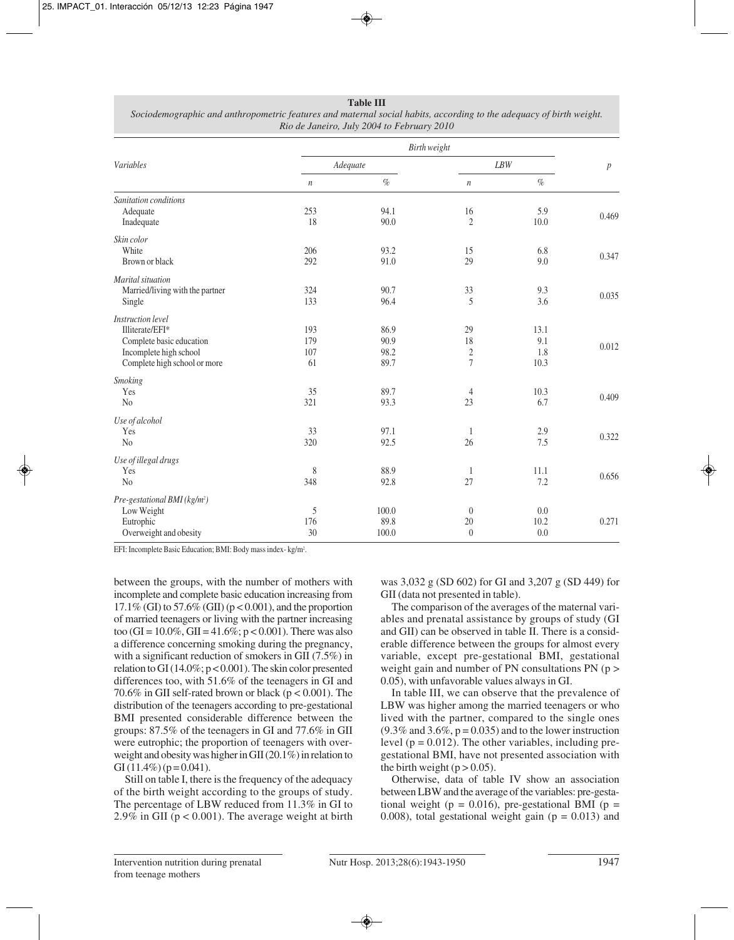#### **Table III**

| Sociodemographic and anthropometric features and maternal social habits, according to the adequacy of birth weight. |
|---------------------------------------------------------------------------------------------------------------------|
| Rio de Janeiro, July 2004 to February 2010                                                                          |

| Variables                                |                  |       |                  |      |       |
|------------------------------------------|------------------|-------|------------------|------|-------|
|                                          | Adequate         |       | $\mathit{LBW}$   |      | p     |
|                                          | $\boldsymbol{n}$ | $\%$  | $\boldsymbol{n}$ | $\%$ |       |
| Sanitation conditions                    |                  |       |                  |      |       |
| Adequate                                 | 253              | 94.1  | 16               | 5.9  | 0.469 |
| Inadequate                               | 18               | 90.0  | $\overline{2}$   | 10.0 |       |
| Skin color                               |                  |       |                  |      |       |
| White                                    | 206              | 93.2  | 15               | 6.8  | 0.347 |
| Brown or black                           | 292              | 91.0  | 29               | 9.0  |       |
| Marital situation                        |                  |       |                  |      |       |
| Married/living with the partner          | 324              | 90.7  | 33               | 9.3  |       |
| Single                                   | 133              | 96.4  | 5                | 3.6  | 0.035 |
| <b>Instruction</b> level                 |                  |       |                  |      |       |
| Illiterate/EFI*                          | 193              | 86.9  | 29               | 13.1 |       |
| Complete basic education                 | 179              | 90.9  | 18               | 9.1  | 0.012 |
| Incomplete high school                   | 107              | 98.2  | $\boldsymbol{2}$ | 1.8  |       |
| Complete high school or more             | 61               | 89.7  | $\overline{7}$   | 10.3 |       |
| Smoking                                  |                  |       |                  |      |       |
| Yes                                      | 35               | 89.7  | 4                | 10.3 | 0.409 |
| N <sub>o</sub>                           | 321              | 93.3  | 23               | 6.7  |       |
| Use of alcohol                           |                  |       |                  |      |       |
| Yes                                      | 33               | 97.1  | 1                | 2.9  | 0.322 |
| N <sub>o</sub>                           | 320              | 92.5  | 26               | 7.5  |       |
| Use of illegal drugs                     |                  |       |                  |      |       |
| Yes                                      | 8                | 88.9  | 1                | 11.1 |       |
| N <sub>o</sub>                           | 348              | 92.8  | 27               | 7.2  | 0.656 |
| Pre-gestational BMI (kg/m <sup>2</sup> ) |                  |       |                  |      |       |
| Low Weight                               | 5                | 100.0 | $\boldsymbol{0}$ | 0.0  |       |
| Eutrophic                                | 176              | 89.8  | 20               | 10.2 | 0.271 |
| Overweight and obesity                   | 30               | 100.0 | $\boldsymbol{0}$ | 0.0  |       |

EFI: Incomplete Basic Education; BMI: Body mass index- kg/m².

between the groups, with the number of mothers with incomplete and complete basic education increasing from  $17.1\%$  (GI) to  $57.6\%$  (GII) (p < 0.001), and the proportion of married teenagers or living with the partner increasing too (GI =  $10.0\%$ , GII =  $41.6\%$ ; p < 0.001). There was also a difference concerning smoking during the pregnancy, with a significant reduction of smokers in GII (7.5%) in relation to GI (14.0%; p < 0.001). The skin color presented differences too, with 51.6% of the teenagers in GI and 70.6% in GII self-rated brown or black ( $p < 0.001$ ). The distribution of the teenagers according to pre-gestational BMI presented considerable difference between the groups: 87.5% of the teenagers in GI and 77.6% in GII were eutrophic; the proportion of teenagers with overweight and obesity was higher in GII (20.1%) in relation to GI  $(11.4\%)$  (p = 0.041).

Still on table I, there is the frequency of the adequacy of the birth weight according to the groups of study. The percentage of LBW reduced from 11.3% in GI to 2.9% in GII ( $p < 0.001$ ). The average weight at birth was 3,032 g (SD 602) for GI and 3,207 g (SD 449) for GII (data not presented in table).

The comparison of the averages of the maternal variables and prenatal assistance by groups of study (GI and GII) can be observed in table II. There is a considerable difference between the groups for almost every variable, except pre-gestational BMI, gestational weight gain and number of PN consultations  $PN$  (p > 0.05), with unfavorable values always in GI.

In table III, we can observe that the prevalence of LBW was higher among the married teenagers or who lived with the partner, compared to the single ones  $(9.3\%$  and  $3.6\%, p = 0.035)$  and to the lower instruction level ( $p = 0.012$ ). The other variables, including pregestational BMI, have not presented association with the birth weight  $(p > 0.05)$ .

Otherwise, data of table IV show an association between LBW and the average of the variables: pre-gestational weight ( $p = 0.016$ ), pre-gestational BMI ( $p =$ 0.008), total gestational weight gain  $(p = 0.013)$  and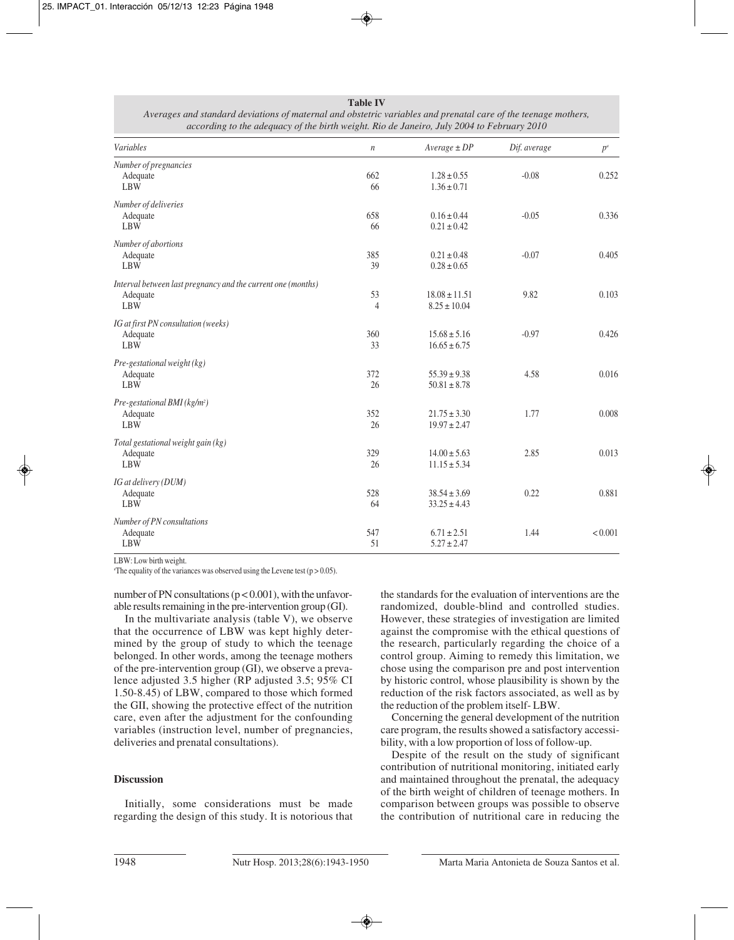| Variables                                                    | $\,$           | $Average \pm DP$  | Dif. average | $p^a$   |
|--------------------------------------------------------------|----------------|-------------------|--------------|---------|
| Number of pregnancies                                        |                |                   |              |         |
| Adequate                                                     | 662            | $1.28 \pm 0.55$   | $-0.08$      | 0.252   |
| <b>LBW</b>                                                   | 66             | $1.36 \pm 0.71$   |              |         |
| Number of deliveries                                         |                |                   |              |         |
| Adequate                                                     | 658            | $0.16 \pm 0.44$   | $-0.05$      | 0.336   |
| <b>LBW</b>                                                   | 66             | $0.21 \pm 0.42$   |              |         |
| Number of abortions                                          |                |                   |              |         |
| Adequate                                                     | 385            | $0.21 \pm 0.48$   | $-0.07$      | 0.405   |
| <b>LBW</b>                                                   | 39             | $0.28 \pm 0.65$   |              |         |
| Interval between last pregnancy and the current one (months) |                |                   |              |         |
| Adequate                                                     | 53             | $18.08 \pm 11.51$ | 9.82         | 0.103   |
| <b>LBW</b>                                                   | $\overline{4}$ | $8.25 \pm 10.04$  |              |         |
| IG at first PN consultation (weeks)                          |                |                   |              |         |
| Adequate                                                     | 360            | $15.68 \pm 5.16$  | $-0.97$      | 0.426   |
| <b>LBW</b>                                                   | 33             | $16.65 \pm 6.75$  |              |         |
| Pre-gestational weight (kg)                                  |                |                   |              |         |
| Adequate                                                     | 372            | $55.39 \pm 9.38$  | 4.58         | 0.016   |
| <b>LBW</b>                                                   | 26             | $50.81 \pm 8.78$  |              |         |
| Pre-gestational BMI ( $kg/m2$ )                              |                |                   |              |         |
| Adequate                                                     | 352            | $21.75 \pm 3.30$  | 1.77         | 0.008   |
| <b>LBW</b>                                                   | 26             | $19.97 \pm 2.47$  |              |         |
| Total gestational weight gain (kg)                           |                |                   |              |         |
| Adequate                                                     | 329            | $14.00 \pm 5.63$  | 2.85         | 0.013   |
| <b>LBW</b>                                                   | 26             | $11.15 \pm 5.34$  |              |         |
| IG at delivery (DUM)                                         |                |                   |              |         |
| Adequate                                                     | 528            | $38.54 \pm 3.69$  | 0.22         | 0.881   |
| <b>LBW</b>                                                   | 64             | $33.25 \pm 4.43$  |              |         |
| Number of PN consultations                                   |                |                   |              |         |
| Adequate                                                     | 547            | $6.71 \pm 2.51$   | 1.44         | < 0.001 |
| <b>LBW</b>                                                   | 51             | $5.27 \pm 2.47$   |              |         |

**Table IV** *Averages and standard deviations of maternal and obstetric variables and prenatal care of the teenage mothers, according to the adequacy of the birth weight. Rio de Janeiro, July 2004 to February 2010*

LBW: Low birth weight.

The equality of the variances was observed using the Levene test ( $p > 0.05$ ).

number of PN consultations ( $p < 0.001$ ), with the unfavorable results remaining in the pre-intervention group (GI).

In the multivariate analysis (table V), we observe that the occurrence of LBW was kept highly determined by the group of study to which the teenage belonged. In other words, among the teenage mothers of the pre-intervention group (GI), we observe a prevalence adjusted 3.5 higher (RP adjusted 3.5; 95% CI 1.50-8.45) of LBW, compared to those which formed the GII, showing the protective effect of the nutrition care, even after the adjustment for the confounding variables (instruction level, number of pregnancies, deliveries and prenatal consultations).

# **Discussion**

Initially, some considerations must be made regarding the design of this study. It is notorious that the standards for the evaluation of interventions are the randomized, double-blind and controlled studies. However, these strategies of investigation are limited against the compromise with the ethical questions of the research, particularly regarding the choice of a control group. Aiming to remedy this limitation, we chose using the comparison pre and post intervention by historic control, whose plausibility is shown by the reduction of the risk factors associated, as well as by the reduction of the problem itself- LBW.

Concerning the general development of the nutrition care program, the results showed a satisfactory accessibility, with a low proportion of loss of follow-up.

Despite of the result on the study of significant contribution of nutritional monitoring, initiated early and maintained throughout the prenatal, the adequacy of the birth weight of children of teenage mothers. In comparison between groups was possible to observe the contribution of nutritional care in reducing the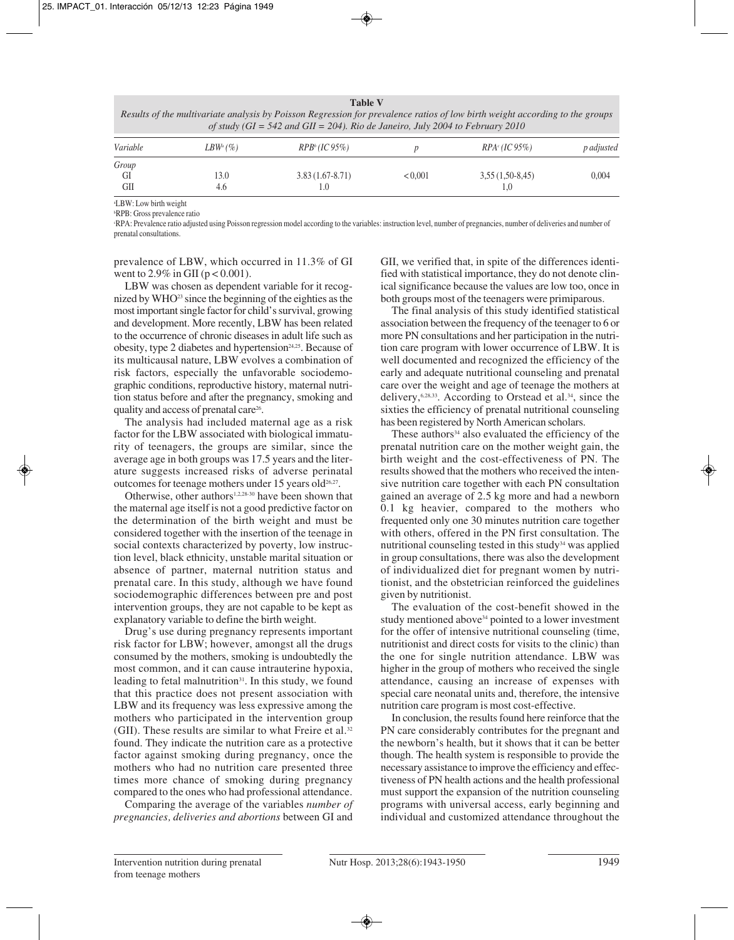| Results of the multivariate analysis by Poisson Regression for prevalence ratios of low birth weight according to the groups<br>of study (GI = 542 and GII = 204). Rio de Janeiro, July 2004 to February 2010 |             |                           |         |                           |                   |  |
|---------------------------------------------------------------------------------------------------------------------------------------------------------------------------------------------------------------|-------------|---------------------------|---------|---------------------------|-------------------|--|
| Variable                                                                                                                                                                                                      | $LBW^a$ (%) | RPB <sup>b</sup> (IC 95%) |         | RPA <sub>c</sub> (IC 95%) | <i>p</i> adjusted |  |
| Group                                                                                                                                                                                                         |             |                           |         |                           |                   |  |
| GI                                                                                                                                                                                                            | 13.0        | $3.83(1.67-8.71)$         | < 0.001 | $3,55(1,50-8,45)$         | 0.004             |  |
| GШ                                                                                                                                                                                                            | 4.6         | $\cup$                    |         | 1.0                       |                   |  |

**Table V**

a LBW: Low birth weight

b RPB: Gross prevalence ratio

c RPA: Prevalence ratio adjusted using Poisson regression model according to the variables: instruction level, number of pregnancies, number of deliveries and number of prenatal consultations.

prevalence of LBW, which occurred in 11.3% of GI went to  $2.9\%$  in GII ( $p < 0.001$ ).

LBW was chosen as dependent variable for it recognized by WHO<sup>23</sup> since the beginning of the eighties as the most important single factor for child's survival, growing and development. More recently, LBW has been related to the occurrence of chronic diseases in adult life such as obesity, type 2 diabetes and hypertension $24,25$ . Because of its multicausal nature, LBW evolves a combination of risk factors, especially the unfavorable sociodemographic conditions, reproductive history, maternal nutrition status before and after the pregnancy, smoking and quality and access of prenatal care<sup>26</sup>.

The analysis had included maternal age as a risk factor for the LBW associated with biological immaturity of teenagers, the groups are similar, since the average age in both groups was 17.5 years and the literature suggests increased risks of adverse perinatal outcomes for teenage mothers under 15 years old<sup>26,27</sup>.

Otherwise, other authors<sup>1,2,28-30</sup> have been shown that the maternal age itself is not a good predictive factor on the determination of the birth weight and must be considered together with the insertion of the teenage in social contexts characterized by poverty, low instruction level, black ethnicity, unstable marital situation or absence of partner, maternal nutrition status and prenatal care. In this study, although we have found sociodemographic differences between pre and post intervention groups, they are not capable to be kept as explanatory variable to define the birth weight.

Drug's use during pregnancy represents important risk factor for LBW; however, amongst all the drugs consumed by the mothers, smoking is undoubtedly the most common, and it can cause intrauterine hypoxia, leading to fetal malnutrition<sup>31</sup>. In this study, we found that this practice does not present association with LBW and its frequency was less expressive among the mothers who participated in the intervention group (GII). These results are similar to what Freire et al. $32$ found. They indicate the nutrition care as a protective factor against smoking during pregnancy, once the mothers who had no nutrition care presented three times more chance of smoking during pregnancy compared to the ones who had professional attendance.

Comparing the average of the variables *number of pregnancies, deliveries and abortions* between GI and

GII, we verified that, in spite of the differences identified with statistical importance, they do not denote clinical significance because the values are low too, once in both groups most of the teenagers were primiparous.

The final analysis of this study identified statistical association between the frequency of the teenager to 6 or more PN consultations and her participation in the nutrition care program with lower occurrence of LBW. It is well documented and recognized the efficiency of the early and adequate nutritional counseling and prenatal care over the weight and age of teenage the mothers at delivery,6,28,33. According to Orstead et al.34, since the sixties the efficiency of prenatal nutritional counseling has been registered by North American scholars.

These authors $34$  also evaluated the efficiency of the prenatal nutrition care on the mother weight gain, the birth weight and the cost-effectiveness of PN. The results showed that the mothers who received the intensive nutrition care together with each PN consultation gained an average of 2.5 kg more and had a newborn 0.1 kg heavier, compared to the mothers who frequented only one 30 minutes nutrition care together with others, offered in the PN first consultation. The nutritional counseling tested in this study<sup>34</sup> was applied in group consultations, there was also the development of individualized diet for pregnant women by nutritionist, and the obstetrician reinforced the guidelines given by nutritionist.

The evaluation of the cost-benefit showed in the study mentioned above<sup>34</sup> pointed to a lower investment for the offer of intensive nutritional counseling (time, nutritionist and direct costs for visits to the clinic) than the one for single nutrition attendance. LBW was higher in the group of mothers who received the single attendance, causing an increase of expenses with special care neonatal units and, therefore, the intensive nutrition care program is most cost-effective.

In conclusion, the results found here reinforce that the PN care considerably contributes for the pregnant and the newborn's health, but it shows that it can be better though. The health system is responsible to provide the necessary assistance to improve the efficiency and effectiveness of PN health actions and the health professional must support the expansion of the nutrition counseling programs with universal access, early beginning and individual and customized attendance throughout the